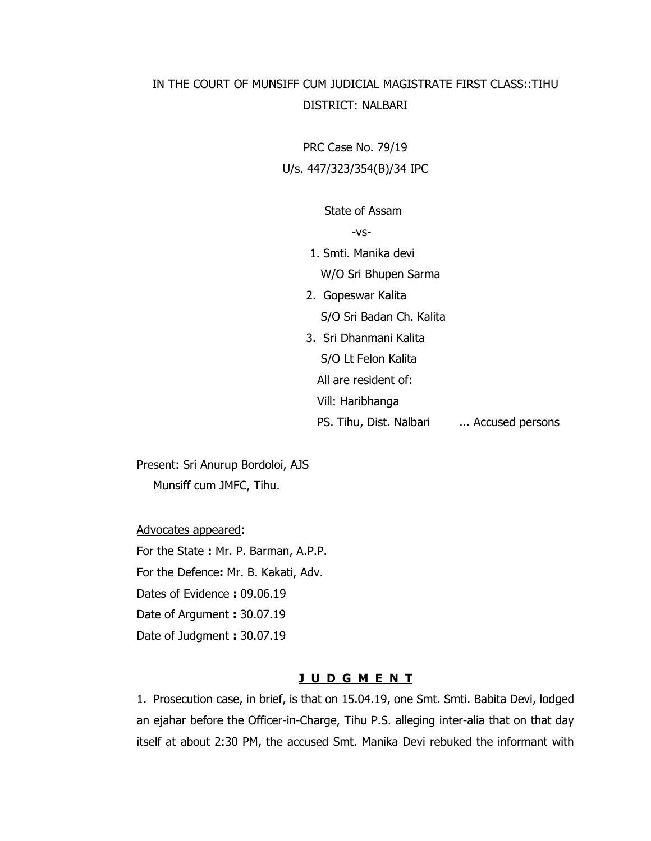# IN THE COURT OF MUNSIFF CUM JUDICIAL MAGISTRATE FIRST CLASS::TIHU DISTRICT: NALBARI

PRC Case No. 79/19 U/s. 447/323/354(B)/34 IPC

State of Assam

-vs-

- 1. Smti. Manika devi
	- W/O Sri Bhupen Sarma
- 2. Gopeswar Kalita S/O Sri Badan Ch. Kalita
- 3. Sri Dhanmani Kalita
	- S/O Lt Felon Kalita
	- All are resident of:
	- Vill: Haribhanga
	- PS. Tihu, Dist. Nalbari ... Accused persons

Present: Sri Anurup Bordoloi, AJS Munsiff cum JMFC, Tihu.

Advocates appeared:

For the State **:** Mr. P. Barman, A.P.P. For the Defence**:** Mr. B. Kakati, Adv. Dates of Evidence **:** 09.06.19

Date of Argument **:** 30.07.19

Date of Judgment **:** 30.07.19

### **J U D G M E N T**

1. Prosecution case, in brief, is that on 15.04.19, one Smt. Smti. Babita Devi, lodged an ejahar before the Officer-in-Charge, Tihu P.S. alleging inter-alia that on that day itself at about 2:30 PM, the accused Smt. Manika Devi rebuked the informant with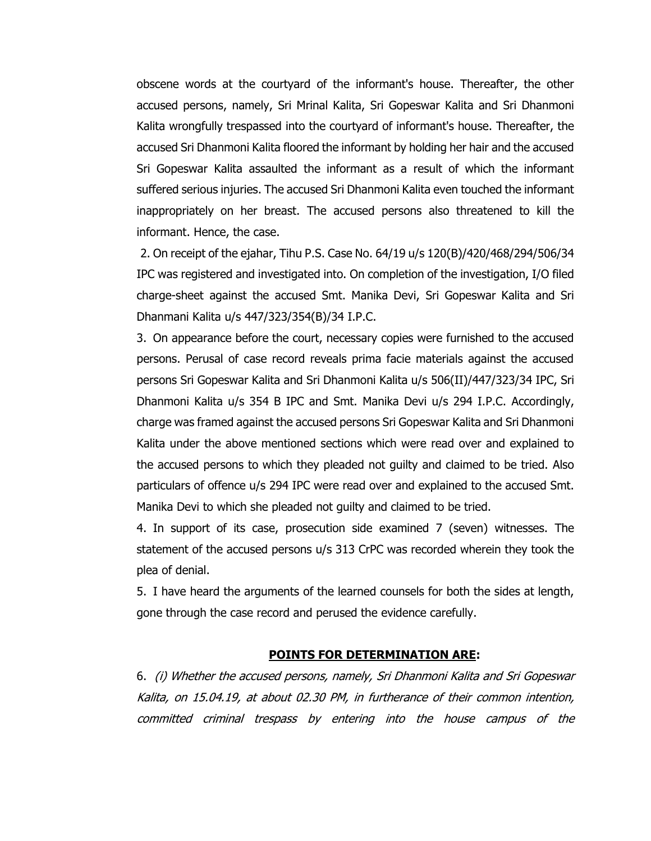obscene words at the courtyard of the informant's house. Thereafter, the other accused persons, namely, Sri Mrinal Kalita, Sri Gopeswar Kalita and Sri Dhanmoni Kalita wrongfully trespassed into the courtyard of informant's house. Thereafter, the accused Sri Dhanmoni Kalita floored the informant by holding her hair and the accused Sri Gopeswar Kalita assaulted the informant as a result of which the informant suffered serious injuries. The accused Sri Dhanmoni Kalita even touched the informant inappropriately on her breast. The accused persons also threatened to kill the informant. Hence, the case.

2. On receipt of the ejahar, Tihu P.S. Case No. 64/19 u/s 120(B)/420/468/294/506/34 IPC was registered and investigated into. On completion of the investigation, I/O filed charge-sheet against the accused Smt. Manika Devi, Sri Gopeswar Kalita and Sri Dhanmani Kalita u/s 447/323/354(B)/34 I.P.C.

3. On appearance before the court, necessary copies were furnished to the accused persons. Perusal of case record reveals prima facie materials against the accused persons Sri Gopeswar Kalita and Sri Dhanmoni Kalita u/s 506(II)/447/323/34 IPC, Sri Dhanmoni Kalita u/s 354 B IPC and Smt. Manika Devi u/s 294 I.P.C. Accordingly, charge was framed against the accused persons Sri Gopeswar Kalita and Sri Dhanmoni Kalita under the above mentioned sections which were read over and explained to the accused persons to which they pleaded not guilty and claimed to be tried. Also particulars of offence u/s 294 IPC were read over and explained to the accused Smt. Manika Devi to which she pleaded not guilty and claimed to be tried.

4. In support of its case, prosecution side examined 7 (seven) witnesses. The statement of the accused persons u/s 313 CrPC was recorded wherein they took the plea of denial.

5. I have heard the arguments of the learned counsels for both the sides at length, gone through the case record and perused the evidence carefully.

#### **POINTS FOR DETERMINATION ARE:**

6. (i) Whether the accused persons, namely, Sri Dhanmoni Kalita and Sri Gopeswar Kalita, on 15.04.19, at about 02.30 PM, in furtherance of their common intention, committed criminal trespass by entering into the house campus of the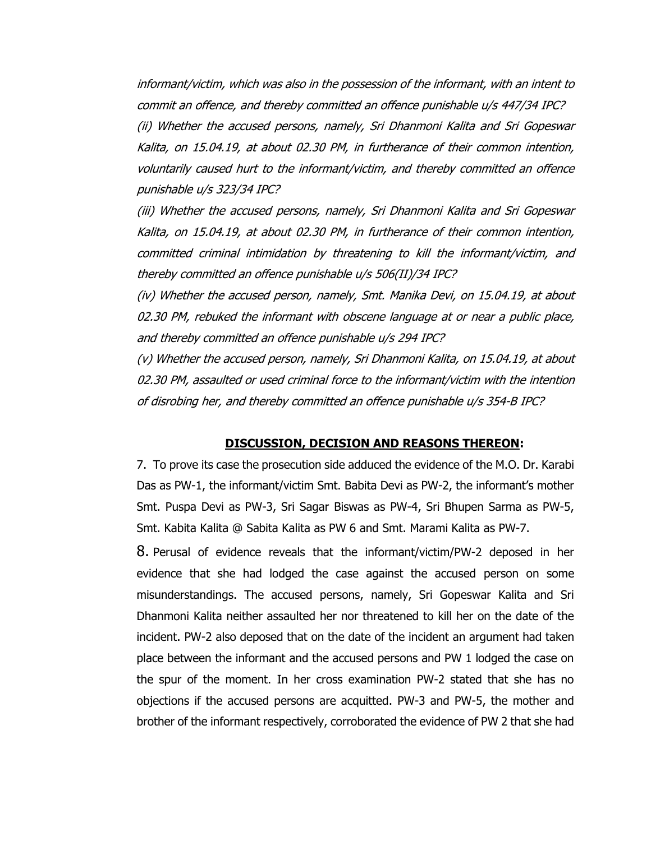informant/victim, which was also in the possession of the informant, with an intent to commit an offence, and thereby committed an offence punishable u/s 447/34 IPC? (ii) Whether the accused persons, namely, Sri Dhanmoni Kalita and Sri Gopeswar Kalita, on 15.04.19, at about 02.30 PM, in furtherance of their common intention, voluntarily caused hurt to the informant/victim, and thereby committed an offence punishable u/s 323/34 IPC?

(iii) Whether the accused persons, namely, Sri Dhanmoni Kalita and Sri Gopeswar Kalita, on 15.04.19, at about 02.30 PM, in furtherance of their common intention, committed criminal intimidation by threatening to kill the informant/victim, and thereby committed an offence punishable u/s 506(II)/34 IPC?

(iv) Whether the accused person, namely, Smt. Manika Devi, on 15.04.19, at about 02.30 PM, rebuked the informant with obscene language at or near a public place, and thereby committed an offence punishable u/s 294 IPC?

(v) Whether the accused person, namely, Sri Dhanmoni Kalita, on 15.04.19, at about 02.30 PM, assaulted or used criminal force to the informant/victim with the intention of disrobing her, and thereby committed an offence punishable u/s 354-B IPC?

#### **DISCUSSION, DECISION AND REASONS THEREON:**

7. To prove its case the prosecution side adduced the evidence of the M.O. Dr. Karabi Das as PW-1, the informant/victim Smt. Babita Devi as PW-2, the informant's mother Smt. Puspa Devi as PW-3, Sri Sagar Biswas as PW-4, Sri Bhupen Sarma as PW-5, Smt. Kabita Kalita @ Sabita Kalita as PW 6 and Smt. Marami Kalita as PW-7.

8. Perusal of evidence reveals that the informant/victim/PW-2 deposed in her evidence that she had lodged the case against the accused person on some misunderstandings. The accused persons, namely, Sri Gopeswar Kalita and Sri Dhanmoni Kalita neither assaulted her nor threatened to kill her on the date of the incident. PW-2 also deposed that on the date of the incident an argument had taken place between the informant and the accused persons and PW 1 lodged the case on the spur of the moment. In her cross examination PW-2 stated that she has no objections if the accused persons are acquitted. PW-3 and PW-5, the mother and brother of the informant respectively, corroborated the evidence of PW 2 that she had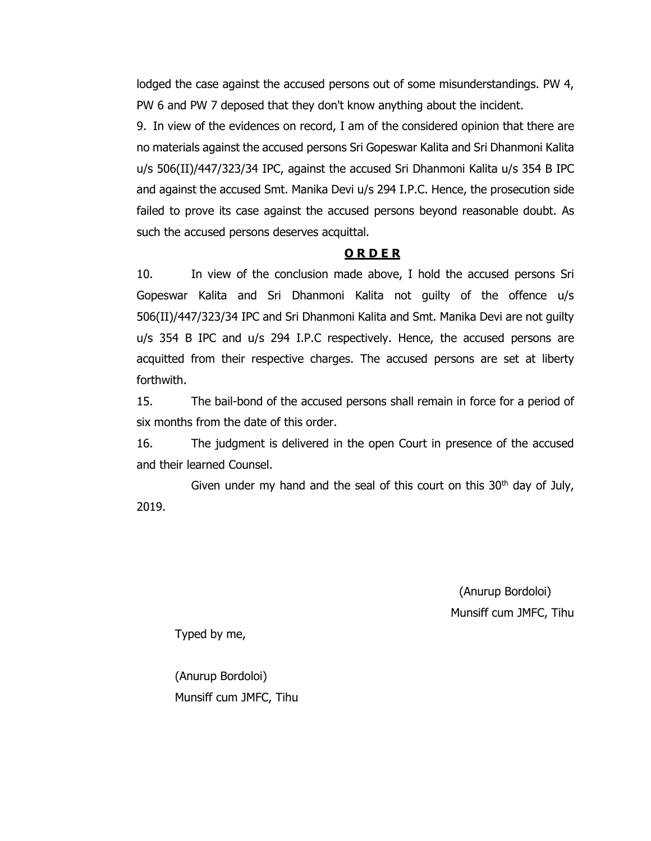lodged the case against the accused persons out of some misunderstandings. PW 4, PW 6 and PW 7 deposed that they don't know anything about the incident.

9. In view of the evidences on record, I am of the considered opinion that there are no materials against the accused persons Sri Gopeswar Kalita and Sri Dhanmoni Kalita u/s 506(II)/447/323/34 IPC, against the accused Sri Dhanmoni Kalita u/s 354 B IPC and against the accused Smt. Manika Devi u/s 294 I.P.C. Hence, the prosecution side failed to prove its case against the accused persons beyond reasonable doubt. As such the accused persons deserves acquittal.

### **O R D E R**

10. In view of the conclusion made above, I hold the accused persons Sri Gopeswar Kalita and Sri Dhanmoni Kalita not guilty of the offence u/s 506(II)/447/323/34 IPC and Sri Dhanmoni Kalita and Smt. Manika Devi are not guilty u/s 354 B IPC and u/s 294 I.P.C respectively. Hence, the accused persons are acquitted from their respective charges. The accused persons are set at liberty forthwith.

15. The bail-bond of the accused persons shall remain in force for a period of six months from the date of this order.

16. The judgment is delivered in the open Court in presence of the accused and their learned Counsel.

Given under my hand and the seal of this court on this  $30<sup>th</sup>$  day of July, 2019.

> (Anurup Bordoloi) Munsiff cum JMFC, Tihu

Typed by me,

(Anurup Bordoloi) Munsiff cum JMFC, Tihu